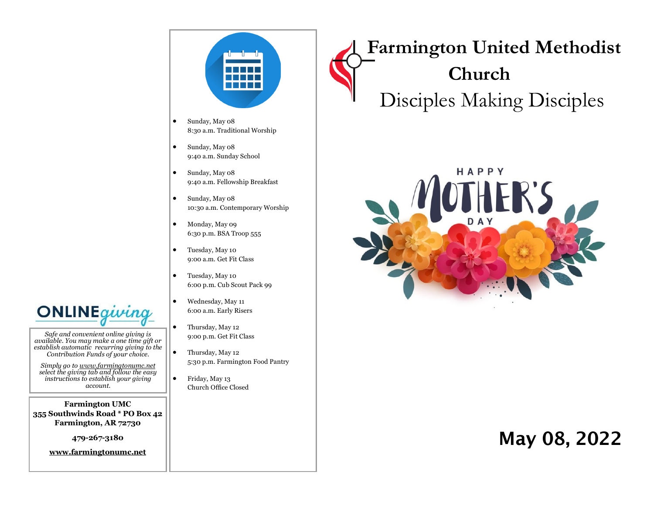

- Sunday, May 08 8:30 a.m. Traditional Worship
- Sunday, May 08 9:40 a.m. Sunday School
- Sunday, May 08 9:40 a.m. Fellowship Breakfast
- Sunday, May 08 10:30 a.m. Contemporary Worship
- Monday, May 09 6:30 p.m. BSA Troop 555
- Tuesday, May 10 9:00 a.m. Get Fit Class
- Tuesday, May 10 6:00 p.m. Cub Scout Pack 99
- Wednesday, May 11 6:00 a.m. Early Risers
- Thursday, May 12 9:00 p.m. Get Fit Class
- Thursday, May 12 5:30 p.m. Farmington Food Pantry
- Friday, May 13 Church Office Closed

 **Farmington United Methodist Church** Disciples Making Disciples



# May 08, 2022

**ONLINE**gu

*Safe and convenient online giving is available. You may make a one time gift or establish automatic recurring giving to the Contribution Funds of your choice.* 

*Simply go to www.farmingtonumc.net select the giving tab and follow the easy instructions to establish your giving account.* 

**Farmington UMC 355 Southwinds Road \* PO Box 42 Farmington, AR 72730**

**479-267-3180** 

**www.farmingtonumc.net**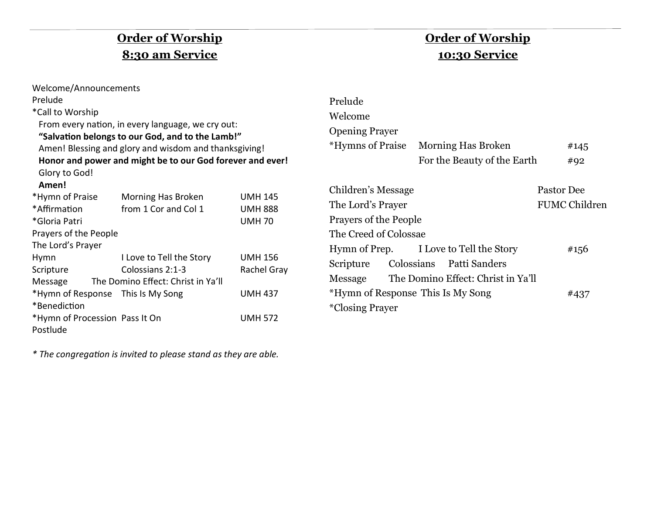## **Order of Worship 8:30 am Service**

| Welcome/Announcements                                     |                                                   |                |  |  |  |  |
|-----------------------------------------------------------|---------------------------------------------------|----------------|--|--|--|--|
| Prelude                                                   |                                                   |                |  |  |  |  |
| *Call to Worship                                          |                                                   |                |  |  |  |  |
|                                                           | From every nation, in every language, we cry out: |                |  |  |  |  |
| "Salvation belongs to our God, and to the Lamb!"          |                                                   |                |  |  |  |  |
| Amen! Blessing and glory and wisdom and thanksgiving!     |                                                   |                |  |  |  |  |
| Honor and power and might be to our God forever and ever! |                                                   |                |  |  |  |  |
| Glory to God!                                             |                                                   |                |  |  |  |  |
| Amen!                                                     |                                                   |                |  |  |  |  |
| *Hymn of Praise                                           | Morning Has Broken                                | <b>UMH 145</b> |  |  |  |  |
| *Affirmation                                              | from 1 Cor and Col 1                              | <b>UMH 888</b> |  |  |  |  |
| *Gloria Patri                                             |                                                   | <b>UMH70</b>   |  |  |  |  |
| Prayers of the People                                     |                                                   |                |  |  |  |  |
| The Lord's Prayer                                         |                                                   |                |  |  |  |  |
| Hymn                                                      | I Love to Tell the Story                          | <b>UMH 156</b> |  |  |  |  |
| Scripture                                                 | Colossians 2:1-3                                  | Rachel Gray    |  |  |  |  |
| The Domino Effect: Christ in Ya'll<br>Message             |                                                   |                |  |  |  |  |
| *Hymn of Response This Is My Song                         |                                                   | <b>UMH 437</b> |  |  |  |  |
| *Benediction                                              |                                                   |                |  |  |  |  |
| *Hymn of Procession Pass It On                            |                                                   | <b>UMH 572</b> |  |  |  |  |
| Postlude                                                  |                                                   |                |  |  |  |  |

### **Order of Worship 10:30 Service**

| Prelude                                |  |                                            |                      |      |
|----------------------------------------|--|--------------------------------------------|----------------------|------|
| Welcome                                |  |                                            |                      |      |
| <b>Opening Prayer</b>                  |  |                                            |                      |      |
| *Hymns of Praise Morning Has Broken    |  |                                            |                      | #145 |
|                                        |  | For the Beauty of the Earth                |                      | #92  |
| Children's Message                     |  | Pastor Dee                                 |                      |      |
| The Lord's Prayer                      |  |                                            | <b>FUMC Children</b> |      |
| <b>Prayers of the People</b>           |  |                                            |                      |      |
| The Creed of Colossae                  |  |                                            |                      |      |
| Hymn of Prep. I Love to Tell the Story |  |                                            |                      | #156 |
| Scripture Colossians Patti Sanders     |  |                                            |                      |      |
|                                        |  | Message The Domino Effect: Christ in Ya'll |                      |      |
| *Hymn of Response This Is My Song      |  |                                            |                      | #437 |
| <i><b>*Closing Prayer</b></i>          |  |                                            |                      |      |

*\* The congregation is invited to please stand as they are able.*